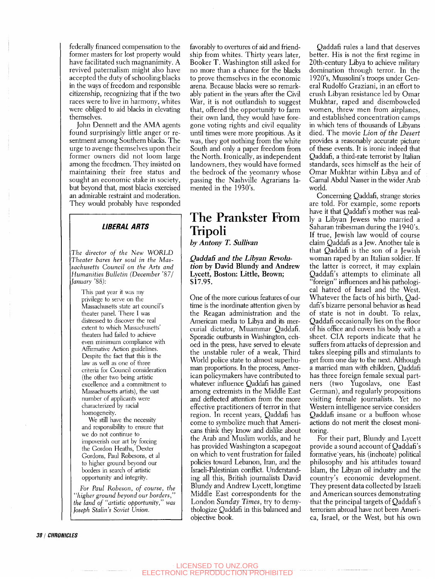federally financed compensation to the former masters for lost property would have facilitated such magnanimity. A revived paternalism might also have accepted the duty of schooling blacks in the ways of freedom and responsible citizenship, recognizing that if the two races were to live in harmony, whites were obliged to aid blacks in elevating themselves.

John Dennett and the AMA agents found surprisingly little anger or resentment among Southern blacks. The urge to avenge themselves upon their former owners did not loom large among the freedmen. They insisted on maintaining their free status and sought an economic stake in society, but beyond that, most blacks exercised an admirable restraint and moderation. They would probably have responded

## **LIBERAL ARTS**

*The director of the New WORLD Theater bares her soul in the Massachusetts Council on the Arts and Humanities Bulletin (December '87/ January '88):* 

This past year it was my privilege to serve on the Massachusetts state art council's theater panel. There I was distressed to discover the real extent to which Massachusetts' theaters had failed to achieve even minimum compliance with Affirmative Action guidelines. Despite the fact that this is the law as well as one of three criteria for Council consideration (the other two being artistic excellence and a commitment to Massachusetts artists), the vast number of applicants were characterized by racial homogeneity.

We still have the necessity and responsibility to ensure that we do not continue to impoverish our art by forcing the Gordon Heaths, Dexter Gordons, Paul Robesons, et al to higher ground beyond our borders in search of artistic opportunity and integrity.

*For Paul Robeson, of course, the "higher ground beyond our borders," the land of "artistic opportunity," was Joseph Stalin's Soviet Union.* 

favorably to overtures of aid and friendship from whites. Thirty years later, Booker T. Washington still asked for no more than a chance for the blacks to prove themselves in the economic arena. Because blacks were so remarkably patient in the years after the Civil War, it is not outlandish to suggest that, offered the opportunity to farm their own land, they would have foregone voting rights and civil equality until times were more propitious. As it was, they got nothing from the white South and only a paper freedom from the North. Ironically, as independent landowners, they would have formed the bedrock of the yeomanry whose passing the Nashville Agrarians lamented in the 1930's.

## The Prankster From Tripoli

*by Antony T. Sullivan* 

*QaddaS and the Libyan Revolution* **by David Blundy and Andrew Lycett, Boston: Little, Brown; \$17.95.** 

One of the more curious features of our time is the inordinate attention given by the Reagan administration and the American media to Libya and its mercurial dictator, Muammar Qaddafi. Sporadic outbursts in Washington, echoed in the press, have served to elevate the unstable ruler of a weak. Third World police state to almost superhuman proportions. In the process, American policymakers have contributed to whatever influence Qaddafi has gained among extremists in the Middle East and deflected attention from the more effective practitioners of terror in that region. In recent years, Qaddafi has come to symbolize much that Americans think they know and dislike about the Arab and Muslim worlds, and he has provided Washington a scapegoat on which to vent frustration for failed policies toward Lebanon, Iran, and the Israeli-Palestinian conflict. Understanding all this, British journalists David Blundy and Andrew Lycett, longtime Middle East correspondents for the London *Sunday Times,* try to demythologize Qaddafi in this balanced and objective book.

Qaddafi rules a land that deserves better. His is not the first regime in 20th-century Libya to achieve military domination through terror. In the 1920's, Mussolini's troops under General Rudolfo Graziani, in an effort to crush Libyan resistance led by Omar Mukhtar, raped and disemboweled women, threw men from airplanes, and established concentration camps in which tens of thousands of Libyans died. The movie *Lion of the Desert*  provides a reasonably accurate picture of these events. It is ironic indeed that Qaddafi, a third-rate terrorist by Italian standards, sees himself as the heir of Omar Mukhtar within Libya and of Gamal Abdul Nasser in the wider Arab world.

Goncerning Qaddafi, strange stories are told. For example, some reports have it that Qaddafi's mother was really a Libyan Jewess who married a Saharan tribesman during the 1940's. If true, Jewish law would of course claim Qaddafi as a Jew. Another tale is that Qaddafi is the son of a Jewish woman raped by an Italian soldier. If the latter is correct, it may explain Qaddafi's attempts to eliminate all "foreign" influences and his pathological hatred of Israel and the West. Whatever the facts of his birth, Qaddafi's bizarre personal behavior as head of state is not in doubt. To relax, Qaddafi occasionally lies on the floor of his office and covers his body with a sheet. GIA reports indicate that he suffers from attacks of depression and takes sleeping pills and stimulants to get from one day to the next. Although a married man with children, Qaddafi has three foreign female sexual partners (two Yugoslavs, one East German), and regularly propositions visiting female journalists. Yet no Western intelligence service considers Qaddafi insane or a buffoon whose actions do not merit the closest monitoring.

For their part, Blundy and Lycett provide a sound account of Qaddafi's formative years, his (inchoate) political philosophy and his attitudes toward Islam, the Libyan oil industry and the country's economic development. They present data collected by Israeli and American sources demonstrating that the principal targets of  $Q$ addafi's terrorism abroad have not been America, Israel, or the West, but his own